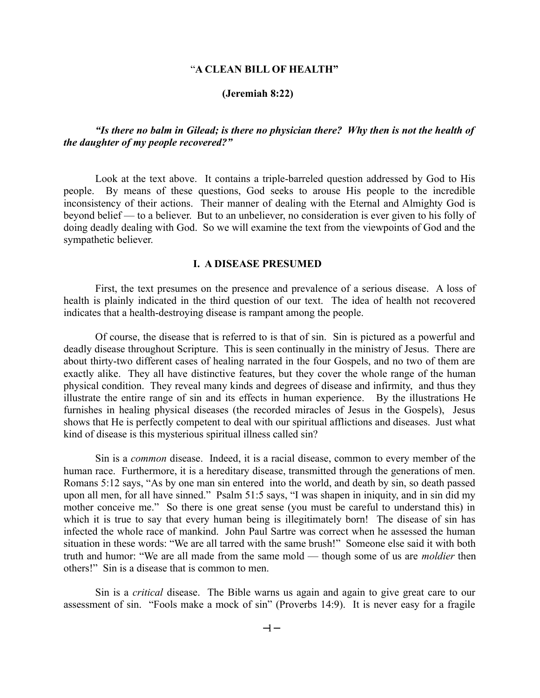### "**A CLEAN BILL OF HEALTH"**

#### **(Jeremiah 8:22)**

# *"Is there no balm in Gilead; is there no physician there? Why then is not the health of the daughter of my people recovered?"*

Look at the text above. It contains a triple-barreled question addressed by God to His people. By means of these questions, God seeks to arouse His people to the incredible inconsistency of their actions. Their manner of dealing with the Eternal and Almighty God is beyond belief — to a believer. But to an unbeliever, no consideration is ever given to his folly of doing deadly dealing with God. So we will examine the text from the viewpoints of God and the sympathetic believer.

### **I. A DISEASE PRESUMED**

First, the text presumes on the presence and prevalence of a serious disease. A loss of health is plainly indicated in the third question of our text. The idea of health not recovered indicates that a health-destroying disease is rampant among the people.

Of course, the disease that is referred to is that of sin. Sin is pictured as a powerful and deadly disease throughout Scripture. This is seen continually in the ministry of Jesus. There are about thirty-two different cases of healing narrated in the four Gospels, and no two of them are exactly alike. They all have distinctive features, but they cover the whole range of the human physical condition. They reveal many kinds and degrees of disease and infirmity, and thus they illustrate the entire range of sin and its effects in human experience. By the illustrations He furnishes in healing physical diseases (the recorded miracles of Jesus in the Gospels), Jesus shows that He is perfectly competent to deal with our spiritual afflictions and diseases. Just what kind of disease is this mysterious spiritual illness called sin?

Sin is a *common* disease. Indeed, it is a racial disease, common to every member of the human race. Furthermore, it is a hereditary disease, transmitted through the generations of men. Romans 5:12 says, "As by one man sin entered into the world, and death by sin, so death passed upon all men, for all have sinned." Psalm 51:5 says, "I was shapen in iniquity, and in sin did my mother conceive me." So there is one great sense (you must be careful to understand this) in which it is true to say that every human being is illegitimately born! The disease of sin has infected the whole race of mankind. John Paul Sartre was correct when he assessed the human situation in these words: "We are all tarred with the same brush!" Someone else said it with both truth and humor: "We are all made from the same mold — though some of us are *moldier* then others!" Sin is a disease that is common to men.

Sin is a *critical* disease. The Bible warns us again and again to give great care to our assessment of sin. "Fools make a mock of sin" (Proverbs 14:9). It is never easy for a fragile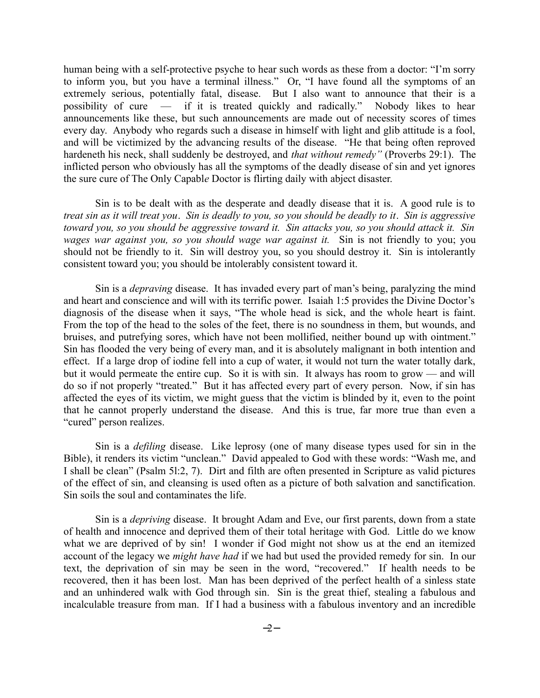human being with a self-protective psyche to hear such words as these from a doctor: "I'm sorry to inform you, but you have a terminal illness." Or, "I have found all the symptoms of an extremely serious, potentially fatal, disease. But I also want to announce that their is a possibility of cure — if it is treated quickly and radically." Nobody likes to hear announcements like these, but such announcements are made out of necessity scores of times every day. Anybody who regards such a disease in himself with light and glib attitude is a fool, and will be victimized by the advancing results of the disease. "He that being often reproved hardeneth his neck, shall suddenly be destroyed, and *that without remedy"* (Proverbs 29:1). The inflicted person who obviously has all the symptoms of the deadly disease of sin and yet ignores the sure cure of The Only Capabl*e* Doctor is flirting daily with abject disaster.

Sin is to be dealt with as the desperate and deadly disease that it is. A good rule is to *treat sin as it will treat you*. *Sin is deadly to you, so you should be deadly to it*. *Sin is aggressive toward you, so you should be aggressive toward it. Sin attacks you, so you should attack it. Sin wages war against you, so you should wage war against it.* Sin is not friendly to you; you should not be friendly to it. Sin will destroy you, so you should destroy it. Sin is intolerantly consistent toward you; you should be intolerably consistent toward it.

Sin is a *depraving* disease. It has invaded every part of man's being, paralyzing the mind and heart and conscience and will with its terrific power. Isaiah 1:5 provides the Divine Doctor's diagnosis of the disease when it says, "The whole head is sick, and the whole heart is faint. From the top of the head to the soles of the feet, there is no soundness in them, but wounds, and bruises, and putrefying sores, which have not been mollified, neither bound up with ointment." Sin has flooded the very being of every man, and it is absolutely malignant in both intention and effect. If a large drop of iodine fell into a cup of water, it would not turn the water totally dark, but it would permeate the entire cup. So it is with sin. It always has room to grow — and will do so if not properly "treated." But it has affected every part of every person. Now, if sin has affected the eyes of its victim, we might guess that the victim is blinded by it, even to the point that he cannot properly understand the disease. And this is true, far more true than even a "cured" person realizes.

Sin is a *defiling* disease. Like leprosy (one of many disease types used for sin in the Bible), it renders its victim "unclean." David appealed to God with these words: "Wash me, and I shall be clean" (Psalm 5l:2, 7). Dirt and filth are often presented in Scripture as valid pictures of the effect of sin, and cleansing is used often as a picture of both salvation and sanctification. Sin soils the soul and contaminates the life.

Sin is a *depriving* disease. It brought Adam and Eve, our first parents, down from a state of health and innocence and deprived them of their total heritage with God. Little do we know what we are deprived of by sin! I wonder if God might not show us at the end an itemized account of the legacy we *might have had* if we had but used the provided remedy for sin. In our text, the deprivation of sin may be seen in the word, "recovered." If health needs to be recovered, then it has been lost. Man has been deprived of the perfect health of a sinless state and an unhindered walk with God through sin. Sin is the great thief, stealing a fabulous and incalculable treasure from man. If I had a business with a fabulous inventory and an incredible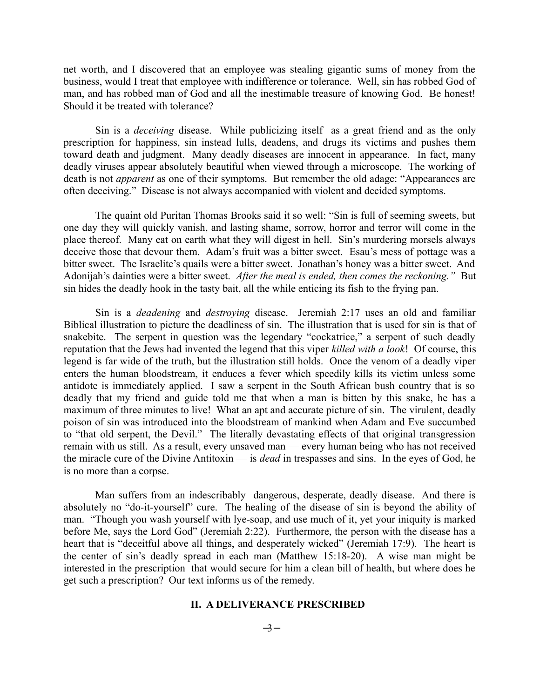net worth, and I discovered that an employee was stealing gigantic sums of money from the business, would I treat that employee with indifference or tolerance. Well, sin has robbed God of man, and has robbed man of God and all the inestimable treasure of knowing God. Be honest! Should it be treated with tolerance?

Sin is a *deceiving* disease. While publicizing itself as a great friend and as the only prescription for happiness, sin instead lulls, deadens, and drugs its victims and pushes them toward death and judgment. Many deadly diseases are innocent in appearance. In fact, many deadly viruses appear absolutely beautiful when viewed through a microscope. The working of death is not *apparent* as one of their symptoms. But remember the old adage: "Appearances are often deceiving." Disease is not always accompanied with violent and decided symptoms.

The quaint old Puritan Thomas Brooks said it so well: "Sin is full of seeming sweets, but one day they will quickly vanish, and lasting shame, sorrow, horror and terror will come in the place thereof. Many eat on earth what they will digest in hell. Sin's murdering morsels always deceive those that devour them. Adam's fruit was a bitter sweet. Esau's mess of pottage was a bitter sweet. The Israelite's quails were a bitter sweet. Jonathan's honey was a bitter sweet. And Adonijah's dainties were a bitter sweet. *After the meal is ended, then comes the reckoning."* But sin hides the deadly hook in the tasty bait, all the while enticing its fish to the frying pan.

Sin is a *deadening* and *destroying* disease. Jeremiah 2:17 uses an old and familiar Biblical illustration to picture the deadliness of sin. The illustration that is used for sin is that of snakebite. The serpent in question was the legendary "cockatrice," a serpent of such deadly reputation that the Jews had invented the legend that this viper *killed with a look*! Of course, this legend is far wide of the truth, but the illustration still holds. Once the venom of a deadly viper enters the human bloodstream, it enduces a fever which speedily kills its victim unless some antidote is immediately applied. I saw a serpent in the South African bush country that is so deadly that my friend and guide told me that when a man is bitten by this snake, he has a maximum of three minutes to live! What an apt and accurate picture of sin. The virulent, deadly poison of sin was introduced into the bloodstream of mankind when Adam and Eve succumbed to "that old serpent, the Devil." The literally devastating effects of that original transgression remain with us still. As a result, every unsaved man — every human being who has not received the miracle cure of the Divine Antitoxin — is *dead* in trespasses and sins. In the eyes of God, he is no more than a corpse.

Man suffers from an indescribably dangerous, desperate, deadly disease. And there is absolutely no "do-it-yourself" cure. The healing of the disease of sin is beyond the ability of man. "Though you wash yourself with lye-soap, and use much of it, yet your iniquity is marked before Me, says the Lord God" (Jeremiah 2:22). Furthermore, the person with the disease has a heart that is "deceitful above all things, and desperately wicked" (Jeremiah 17:9). The heart is the center of sin's deadly spread in each man (Matthew 15:18-20). A wise man might be interested in the prescription that would secure for him a clean bill of health, but where does he get such a prescription? Our text informs us of the remedy.

#### **II. A DELIVERANCE PRESCRIBED**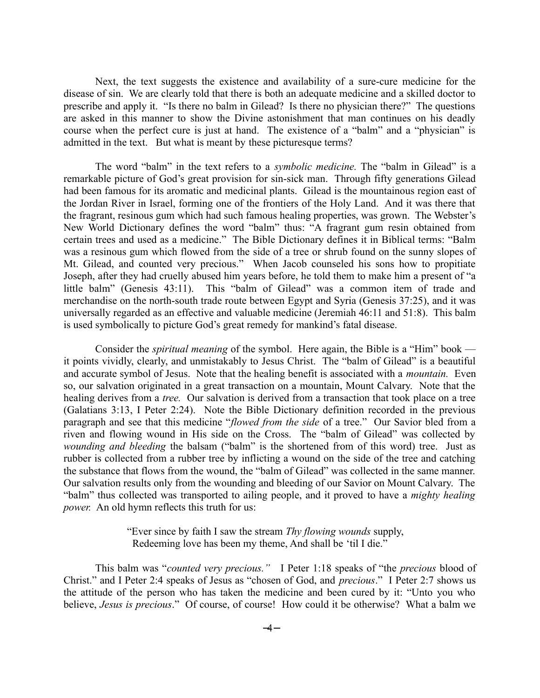Next, the text suggests the existence and availability of a sure-cure medicine for the disease of sin. We are clearly told that there is both an adequate medicine and a skilled doctor to prescribe and apply it. "Is there no balm in Gilead? Is there no physician there?" The questions are asked in this manner to show the Divine astonishment that man continues on his deadly course when the perfect cure is just at hand. The existence of a "balm" and a "physician" is admitted in the text. But what is meant by these picturesque terms?

The word "balm" in the text refers to a *symbolic medicine.* The "balm in Gilead" is a remarkable picture of God's great provision for sin-sick man. Through fifty generations Gilead had been famous for its aromatic and medicinal plants. Gilead is the mountainous region east of the Jordan River in Israel, forming one of the frontiers of the Holy Land. And it was there that the fragrant, resinous gum which had such famous healing properties, was grown. The Webster's New World Dictionary defines the word "balm" thus: "A fragrant gum resin obtained from certain trees and used as a medicine." The Bible Dictionary defines it in Biblical terms: "Balm was a resinous gum which flowed from the side of a tree or shrub found on the sunny slopes of Mt. Gilead, and counted very precious." When Jacob counseled his sons how to propitiate Joseph, after they had cruelly abused him years before, he told them to make him a present of "a little balm" (Genesis 43:11). This "balm of Gilead" was a common item of trade and merchandise on the north-south trade route between Egypt and Syria (Genesis 37:25), and it was universally regarded as an effective and valuable medicine (Jeremiah 46:11 and 51:8). This balm is used symbolically to picture God's great remedy for mankind's fatal disease.

Consider the *spiritual meaning* of the symbol. Here again, the Bible is a "Him" book it points vividly, clearly, and unmistakably to Jesus Christ. The "balm of Gilead" is a beautiful and accurate symbol of Jesus. Note that the healing benefit is associated with a *mountain.* Even so, our salvation originated in a great transaction on a mountain, Mount Calvary. Note that the healing derives from a *tree.* Our salvation is derived from a transaction that took place on a tree (Galatians 3:13, I Peter 2:24). Note the Bible Dictionary definition recorded in the previous paragraph and see that this medicine "*flowed from the side* of a tree." Our Savior bled from a riven and flowing wound in His side on the Cross. The "balm of Gilead" was collected by *wounding and bleeding* the balsam ("balm" is the shortened from of this word) tree. Just as rubber is collected from a rubber tree by inflicting a wound on the side of the tree and catching the substance that flows from the wound, the "balm of Gilead" was collected in the same manner. Our salvation results only from the wounding and bleeding of our Savior on Mount Calvary. The "balm" thus collected was transported to ailing people, and it proved to have a *mighty healing power.* An old hymn reflects this truth for us:

## "Ever since by faith I saw the stream *Thy flowing wounds* supply, Redeeming love has been my theme, And shall be 'til I die."

This balm was "*counted very precious."* I Peter 1:18 speaks of "the *precious* blood of Christ." and I Peter 2:4 speaks of Jesus as "chosen of God, and *precious*." I Peter 2:7 shows us the attitude of the person who has taken the medicine and been cured by it: "Unto you who believe, *Jesus is precious*." Of course, of course! How could it be otherwise? What a balm we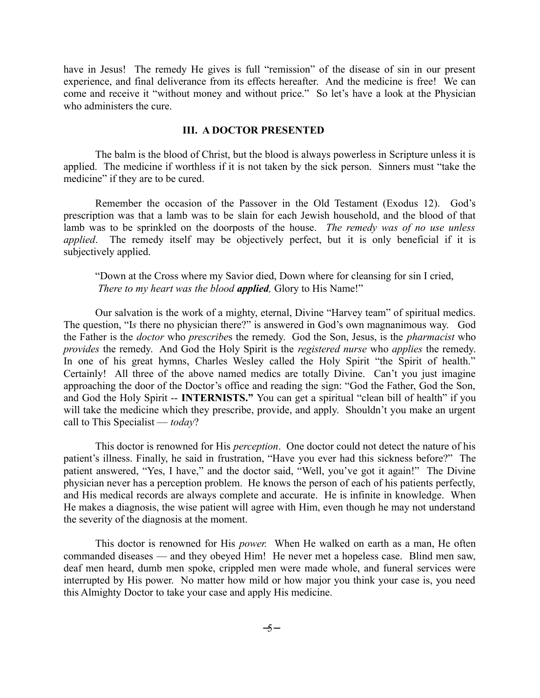have in Jesus! The remedy He gives is full "remission" of the disease of sin in our present experience, and final deliverance from its effects hereafter. And the medicine is free! We can come and receive it "without money and without price." So let's have a look at the Physician who administers the cure.

### **III. A DOCTOR PRESENTED**

The balm is the blood of Christ, but the blood is always powerless in Scripture unless it is applied. The medicine if worthless if it is not taken by the sick person. Sinners must "take the medicine" if they are to be cured.

Remember the occasion of the Passover in the Old Testament (Exodus 12). God's prescription was that a lamb was to be slain for each Jewish household, and the blood of that lamb was to be sprinkled on the doorposts of the house. *The remedy was of no use unless applied*. The remedy itself may be objectively perfect, but it is only beneficial if it is subjectively applied.

"Down at the Cross where my Savior died, Down where for cleansing for sin I cried, *There to my heart was the blood applied,* Glory to His Name!"

Our salvation is the work of a mighty, eternal, Divine "Harvey team" of spiritual medics. The question, "Is there no physician there?" is answered in God's own magnanimous way. God the Father is the *doctor* who *prescribe*s the remedy. God the Son, Jesus, is the *pharmacist* who *provides* the remedy. And God the Holy Spirit is the *registered nurse* who *applies* the remedy. In one of his great hymns, Charles Wesley called the Holy Spirit "the Spirit of health." Certainly! All three of the above named medics are totally Divine. Can't you just imagine approaching the door of the Doctor's office and reading the sign: "God the Father, God the Son, and God the Holy Spirit -- **INTERNISTS."** You can get a spiritual "clean bill of health" if you will take the medicine which they prescribe, provide, and apply. Shouldn't you make an urgent call to This Specialist — *today*?

This doctor is renowned for His *perception*. One doctor could not detect the nature of his patient's illness. Finally, he said in frustration, "Have you ever had this sickness before?" The patient answered, "Yes, I have," and the doctor said, "Well, you've got it again!" The Divine physician never has a perception problem. He knows the person of each of his patients perfectly, and His medical records are always complete and accurate. He is infinite in knowledge. When He makes a diagnosis, the wise patient will agree with Him, even though he may not understand the severity of the diagnosis at the moment.

This doctor is renowned for His *power.* When He walked on earth as a man, He often commanded diseases — and they obeyed Him! He never met a hopeless case. Blind men saw, deaf men heard, dumb men spoke, crippled men were made whole, and funeral services were interrupted by His power. No matter how mild or how major you think your case is, you need this Almighty Doctor to take your case and apply His medicine.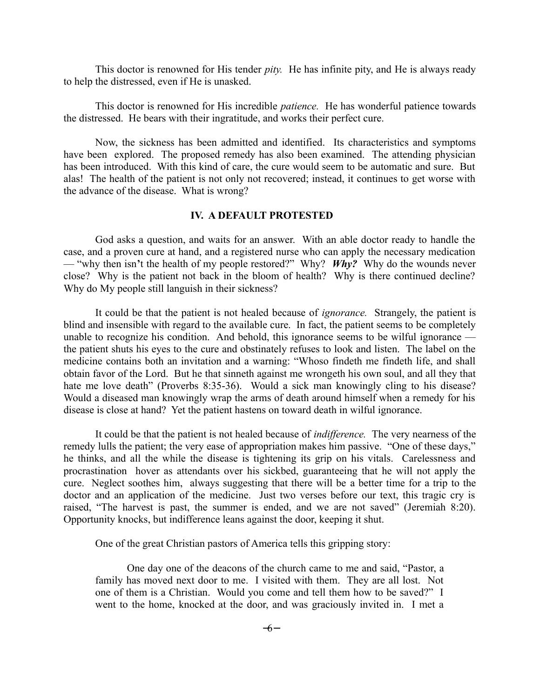This doctor is renowned for His tender *pity.* He has infinite pity, and He is always ready to help the distressed, even if He is unasked.

This doctor is renowned for His incredible *patience.* He has wonderful patience towards the distressed. He bears with their ingratitude, and works their perfect cure.

Now, the sickness has been admitted and identified. Its characteristics and symptoms have been explored. The proposed remedy has also been examined. The attending physician has been introduced. With this kind of care, the cure would seem to be automatic and sure. But alas! The health of the patient is not only not recovered; instead, it continues to get worse with the advance of the disease. What is wrong?

# **IV. A DEFAULT PROTESTED**

God asks a question, and waits for an answer. With an able doctor ready to handle the case, and a proven cure at hand, and a registered nurse who can apply the necessary medication — "why then isn**'**t the health of my people restored?" Why? *Why?* Why do the wounds never close? Why is the patient not back in the bloom of health? Why is there continued decline? Why do My people still languish in their sickness?

It could be that the patient is not healed because of *ignorance.* Strangely, the patient is blind and insensible with regard to the available cure. In fact, the patient seems to be completely unable to recognize his condition. And behold, this ignorance seems to be wilful ignorance the patient shuts his eyes to the cure and obstinately refuses to look and listen. The label on the medicine contains both an invitation and a warning: "Whoso findeth me findeth life, and shall obtain favor of the Lord. But he that sinneth against me wrongeth his own soul, and all they that hate me love death" (Proverbs 8:35-36). Would a sick man knowingly cling to his disease? Would a diseased man knowingly wrap the arms of death around himself when a remedy for his disease is close at hand? Yet the patient hastens on toward death in wilful ignorance.

It could be that the patient is not healed because of *indifference.* The very nearness of the remedy lulls the patient; the very ease of appropriation makes him passive. "One of these days," he thinks, and all the while the disease is tightening its grip on his vitals. Carelessness and procrastination hover as attendants over his sickbed, guaranteeing that he will not apply the cure. Neglect soothes him, always suggesting that there will be a better time for a trip to the doctor and an application of the medicine. Just two verses before our text, this tragic cry is raised, "The harvest is past, the summer is ended, and we are not saved" (Jeremiah 8:20). Opportunity knocks, but indifference leans against the door, keeping it shut.

One of the great Christian pastors of America tells this gripping story:

One day one of the deacons of the church came to me and said, "Pastor, a family has moved next door to me. I visited with them. They are all lost. Not one of them is a Christian. Would you come and tell them how to be saved?" I went to the home, knocked at the door, and was graciously invited in. I met a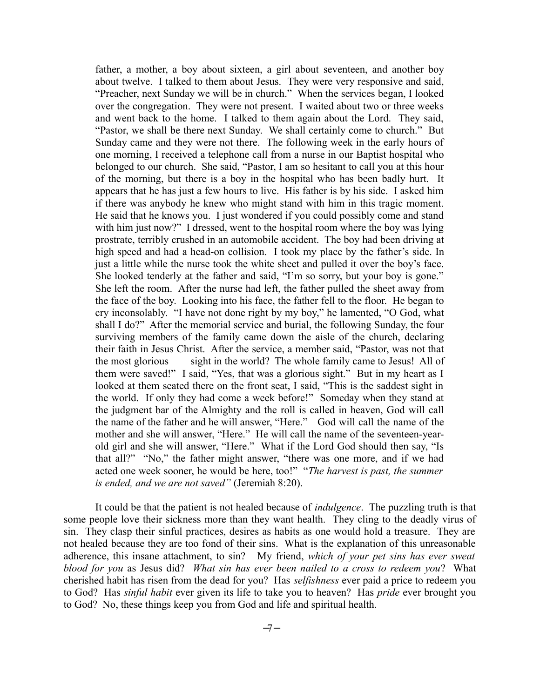father, a mother, a boy about sixteen, a girl about seventeen, and another boy about twelve. I talked to them about Jesus. They were very responsive and said, "Preacher, next Sunday we will be in church." When the services began, I looked over the congregation. They were not present. I waited about two or three weeks and went back to the home. I talked to them again about the Lord. They said, "Pastor, we shall be there next Sunday. We shall certainly come to church." But Sunday came and they were not there. The following week in the early hours of one morning, I received a telephone call from a nurse in our Baptist hospital who belonged to our church. She said, "Pastor, I am so hesitant to call you at this hour of the morning, but there is a boy in the hospital who has been badly hurt. It appears that he has just a few hours to live. His father is by his side. I asked him if there was anybody he knew who might stand with him in this tragic moment. He said that he knows you. I just wondered if you could possibly come and stand with him just now?" I dressed, went to the hospital room where the boy was lying prostrate, terribly crushed in an automobile accident. The boy had been driving at high speed and had a head-on collision. I took my place by the father's side. In just a little while the nurse took the white sheet and pulled it over the boy's face. She looked tenderly at the father and said, "I'm so sorry, but your boy is gone." She left the room. After the nurse had left, the father pulled the sheet away from the face of the boy. Looking into his face, the father fell to the floor. He began to cry inconsolably. "I have not done right by my boy," he lamented, "O God, what shall I do?" After the memorial service and burial, the following Sunday, the four surviving members of the family came down the aisle of the church, declaring their faith in Jesus Christ. After the service, a member said, "Pastor, was not that the most glorious sight in the world? The whole family came to Jesus! All of them were saved!" I said, "Yes, that was a glorious sight." But in my heart as I looked at them seated there on the front seat, I said, "This is the saddest sight in the world. If only they had come a week before!" Someday when they stand at the judgment bar of the Almighty and the roll is called in heaven, God will call the name of the father and he will answer, "Here." God will call the name of the mother and she will answer, "Here." He will call the name of the seventeen-yearold girl and she will answer, "Here." What if the Lord God should then say, "Is that all?" "No," the father might answer, "there was one more, and if we had acted one week sooner, he would be here, too!" "*The harvest is past, the summer is ended, and we are not saved"* (Jeremiah 8:20).

It could be that the patient is not healed because of *indulgence*. The puzzling truth is that some people love their sickness more than they want health. They cling to the deadly virus of sin. They clasp their sinful practices, desires as habits as one would hold a treasure. They are not healed because they are too fond of their sins. What is the explanation of this unreasonable adherence, this insane attachment, to sin? My friend, *which of your pet sins has ever sweat blood for you* as Jesus did? *What sin has ever been nailed to a cross to redeem you*? What cherished habit has risen from the dead for you? Has *selfishness* ever paid a price to redeem you to God? Has *sinful habit* ever given its life to take you to heaven? Has *pride* ever brought you to God? No, these things keep you from God and life and spiritual health.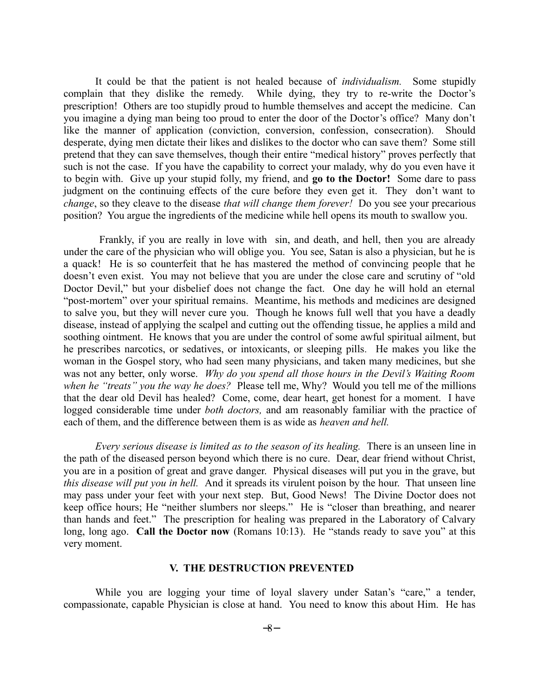It could be that the patient is not healed because of *individualism.* Some stupidly complain that they dislike the remedy. While dying, they try to re-write the Doctor's prescription! Others are too stupidly proud to humble themselves and accept the medicine. Can you imagine a dying man being too proud to enter the door of the Doctor's office? Many don't like the manner of application (conviction, conversion, confession, consecration). Should desperate, dying men dictate their likes and dislikes to the doctor who can save them? Some still pretend that they can save themselves, though their entire "medical history" proves perfectly that such is not the case. If you have the capability to correct your malady, why do you even have it to be*g*in with. Give up your stupid folly, my friend, and **go to the Doctor!** Some dare to pass judgment on the continuing effects of the cure before they even get it. They don't want to *change*, so they cleave to the disease *that will change them forever!* Do you see your precarious position? You argue the ingredients of the medicine while hell opens its mouth to swallow you.

 Frankly, if you are really in love with sin, and death, and hell, then you are already under the care of the physician who will oblige you. You see, Satan is also a physician, but he is a quack! He is so counterfeit that he has mastered the method of convincing people that he doesn't even exist. You may not believe that you are under the close care and scrutiny of "old Doctor Devil," but your disbelief does not change the fact. One day he will hold an eternal "post-mortem" over your spiritual remains. Meantime, his methods and medicines are designed to salve you, but they will never cure you. Though he knows full well that you have a deadly disease, instead of applying the scalpel and cutting out the offending tissue, he applies a mild and soothing ointment. He knows that you are under the control of some awful spiritual ailment, but he prescribes narcotics, or sedatives, or intoxicants, or sleeping pills*.* He makes you like the woman in the Gospel story, who had seen many physicians, and taken many medicines, but she was not any better, only worse. *Why do you spend all those hours in the Devil's Waiting Room when he "treats" you the way he does?* Please tell me, Why? Would you tell me of the millions that the dear old Devil has healed? Come, come, dear heart, get honest for a moment. I have logged considerable time under *both doctors,* and am reasonably familiar with the practice of each of them, and the difference between them is as wide as *heaven and hell.* 

*Every serious disease is limited as to the season of its healing.* There is an unseen line in the path of the diseased person beyond which there is no cure. Dear, dear friend without Christ, you are in a position of great and grave danger. Physical diseases will put you in the grave, but *this disease will put you in hell.* And it spreads its virulent poison by the hour. That unseen line may pass under your feet with your next step. But, Good News! The Divine Doctor does not keep office hours; He "neither slumbers nor sleeps." He is "closer than breathing, and nearer than hands and feet." The prescription for healing was prepared in the Laboratory of Calvary long, long ago. **Call the Doctor now** (Romans 10:13). He "stands ready to save you" at this very moment.

#### **V. THE DESTRUCTION PREVENTED**

While you are logging your time of loyal slavery under Satan's "care," a tender, compassionate, capable Physician is close at hand. You need to know this about Him. He has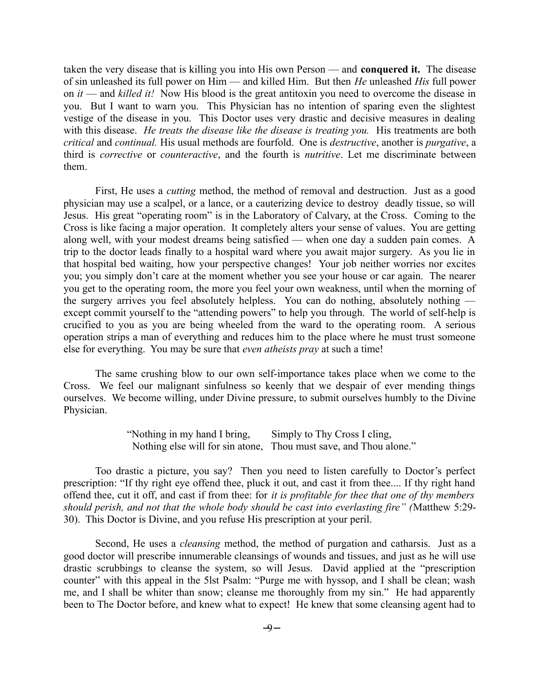taken the very disease that is killing you into His own Person — and **conquered it.** The disease of sin unleashed its full power on Him — and killed Him. But then *He* unleashed *His* full power on *it* — and *killed it!* Now His blood is the great antitoxin you need to overcome the disease in you. But I want to warn you. This Physician has no intention of sparing even the slightest vestige of the disease in you. This Doctor uses very drastic and decisive measures in dealing with this disease. *He treats the disease like the disease is treating you*. His treatments are both *critical* and *continual.* His usual methods are fourfold. One is *destructive*, another is *purgative*, a third is *corrective* or *counteractive*, and the fourth is *nutritive*. Let me discriminate between them.

First, He uses a *cutting* method, the method of removal and destruction. Just as a good physician may use a scalpel, or a lance, or a cauterizing device to destroy deadly tissue, so will Jesus. His great "operating room" is in the Laboratory of Calvary, at the Cross. Coming to the Cross is like facing a major operation. It completely alters your sense of values. You are getting along well, with your modest dreams being satisfied — when one day a sudden pain comes. A trip to the doctor leads finally to a hospital ward where you await major surgery. As you lie in that hospital bed waiting, how your perspective changes! Your job neither worries nor excites you; you simply don't care at the moment whether you see your house or car again. The nearer you get to the operating room, the more you feel your own weakness, until when the morning of the surgery arrives you feel absolutely helpless. You can do nothing, absolutely nothing except commit yourself to the "attending powers" to help you through. The world of self-help is crucified to you as you are being wheeled from the ward to the operating room. A serious operation strips a man of everything and reduces him to the place where he must trust someone else for everything. You may be sure that *even atheists pray* at such a time!

The same crushing blow to our own self-importance takes place when we come to the Cross. We feel our malignant sinfulness so keenly that we despair of ever mending things ourselves. We become willing, under Divine pressure, to submit ourselves humbly to the Divine Physician.

> "Nothing in my hand I bring, Simply to Thy Cross I cling, Nothing else will for sin atone, Thou must save, and Thou alone."

Too drastic a picture, you say? Then you need to listen carefully to Doctor's perfect prescription: "If thy right eye offend thee, pluck it out, and cast it from thee.... If thy right hand offend thee, cut it off, and cast if from thee: for *it is profitable for thee that one of thy members should perish, and not that the whole body should be cast into everlasting fire" (*Matthew 5:29- 30). This Doctor is Divine, and you refuse His prescription at your peril.

Second, He uses a *cleansing* method, the method of purgation and catharsis. Just as a good doctor will prescribe innumerable cleansings of wounds and tissues, and just as he will use drastic scrubbings to cleanse the system, so will Jesus. David applied at the "prescription counter" with this appeal in the 5lst Psalm: "Purge me with hyssop, and I shall be clean; wash me, and I shall be whiter than snow; cleanse me thoroughly from my sin." He had apparently been to The Doctor before, and knew what to expect! He knew that some cleansing agent had to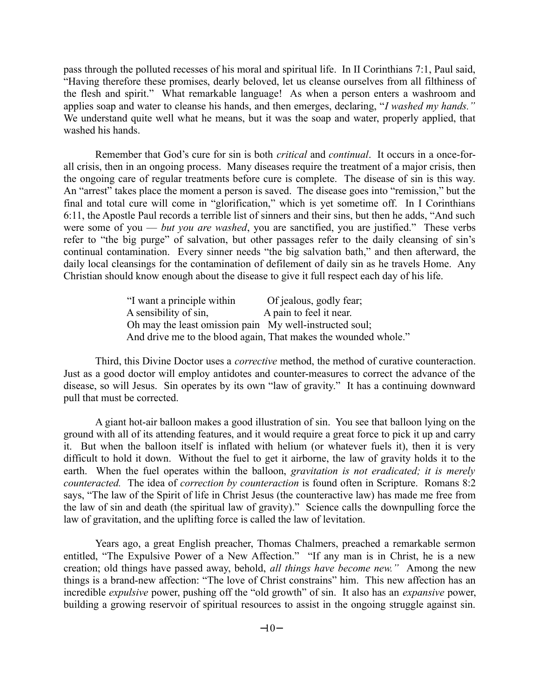pass through the polluted recesses of his moral and spiritual life. In II Corinthians 7:1, Paul said, "Having therefore these promises, dearly beloved, let us cleanse ourselves from all filthiness of the flesh and spirit." What remarkable language! As when a person enters a washroom and applies soap and water to cleanse his hands, and then emerges, declaring, "*I washed my hands."* We understand quite well what he means, but it was the soap and water, properly applied, that washed his hands.

Remember that God's cure for sin is both *critical* and *continual*. It occurs in a once-forall crisis, then in an ongoing process. Many diseases require the treatment of a major crisis, then the ongoing care of regular treatments before cure is complete. The disease of sin is this way. An "arrest" takes place the moment a person is saved. The disease goes into "remission," but the final and total cure will come in "glorification," which is yet sometime off. In I Corinthians 6:11, the Apostle Paul records a terrible list of sinners and their sins, but then he adds, "And such were some of you — *but you are washed*, you are sanctified, you are justified." These verbs refer to "the big purge" of salvation, but other passages refer to the daily cleansing of sin's continual contamination. Every sinner needs "the big salvation bath," and then afterward, the daily local cleansings for the contamination of defilement of daily sin as he travels Home. Any Christian should know enough about the disease to give it full respect each day of his life.

| "I want a principle within                              | Of jealous, godly fear;                                         |
|---------------------------------------------------------|-----------------------------------------------------------------|
| A sensibility of sin,                                   | A pain to feel it near.                                         |
| Oh may the least omission pain My well-instructed soul; |                                                                 |
|                                                         | And drive me to the blood again, That makes the wounded whole." |

Third, this Divine Doctor uses a *corrective* method, the method of curative counteraction. Just as a good doctor will employ antidotes and counter-measures to correct the advance of the disease, so will Jesus. Sin operates by its own "law of gravity." It has a continuing downward pull that must be corrected.

A giant hot-air balloon makes a good illustration of sin. You see that balloon lying on the ground with all of its attending features, and it would require a great force to pick it up and carry it. But when the balloon itself is inflated with helium (or whatever fuels it), then it is very difficult to hold it down. Without the fuel to get it airborne, the law of gravity holds it to the earth. When the fuel operates within the balloon, *gravitation is not eradicated; it is merely counteracted.* The idea of *correction by counteraction* is found often in Scripture. Romans 8:2 says, "The law of the Spirit of life in Christ Jesus (the counteractive law) has made me free from the law of sin and death (the spiritual law of gravity)." Science calls the downpulling force the law of gravitation, and the uplifting force is called the law of levitation.

Years ago, a great English preacher, Thomas Chalmers, preached a remarkable sermon entitled, "The Expulsive Power of a New Affection." "If any man is in Christ, he is a new creation; old things have passed away, behold, *all things have become new."* Among the new things is a brand-new affection: "The love of Christ constrains" him. This new affection has an incredible *expulsive* power, pushing off the "old growth" of sin. It also has an *expansive* power, building a growing reservoir of spiritual resources to assist in the ongoing struggle against sin.